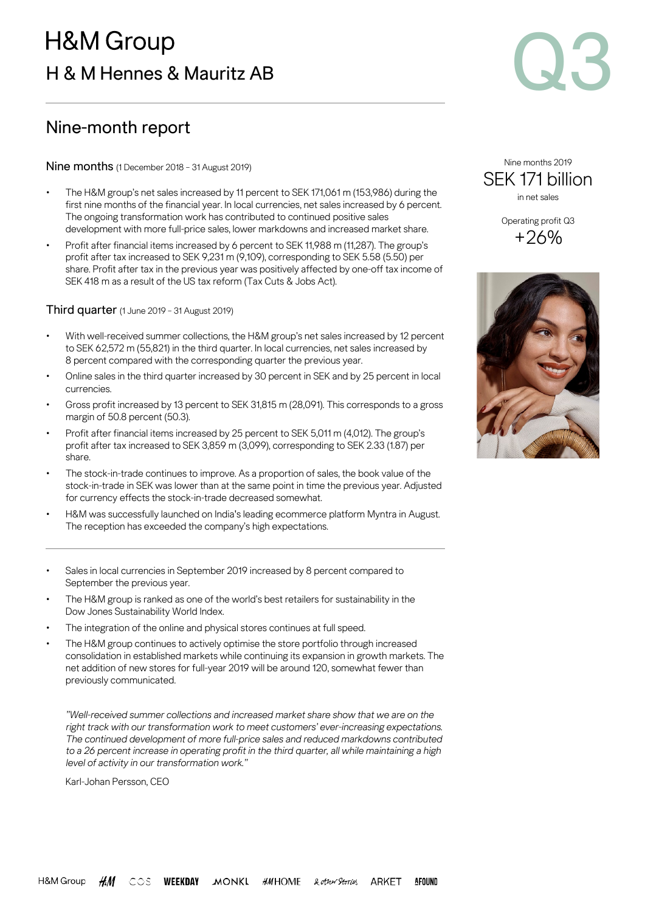

# Nine-month report

Nine months (1 December 2018 – 31 August 2019)

- The H&M group's net sales increased by 11 percent to SEK 171,061 m (153,986) during the first nine months of the financial year. In local currencies, net sales increased by 6 percent. The ongoing transformation work has contributed to continued positive sales development with more full-price sales, lower markdowns and increased market share.
- Profit after financial items increased by 6 percent to SEK 11,988 m (11,287). The group's profit after tax increased to SEK 9,231 m (9,109), corresponding to SEK 5.58 (5.50) per share. Profit after tax in the previous year was positively affected by one-off tax income of SEK 418 m as a result of the US tax reform (Tax Cuts & Jobs Act).

Third quarter (1 June 2019 – 31 August 2019)

- With well-received summer collections, the H&M group's net sales increased by 12 percent to SEK 62,572 m (55,821) in the third quarter. In local currencies, net sales increased by 8 percent compared with the corresponding quarter the previous year.
- Online sales in the third quarter increased by 30 percent in SEK and by 25 percent in local currencies.
- Gross profit increased by 13 percent to SEK 31,815 m (28,091). This corresponds to a gross margin of 50.8 percent (50.3).
- Profit after financial items increased by 25 percent to SEK 5,011 m (4,012). The group's profit after tax increased to SEK 3,859 m (3,099), corresponding to SEK 2.33 (1.87) per share.
- The stock-in-trade continues to improve. As a proportion of sales, the book value of the stock-in-trade in SEK was lower than at the same point in time the previous year. Adjusted for currency effects the stock-in-trade decreased somewhat.
- H&M was successfully launched on India's leading ecommerce platform Myntra in August. The reception has exceeded the company's high expectations.
- Sales in local currencies in September 2019 increased by 8 percent compared to September the previous year.
- The H&M group is ranked as one of the world's best retailers for sustainability in the Dow Jones Sustainability World Index.
- The integration of the online and physical stores continues at full speed.
- The H&M group continues to actively optimise the store portfolio through increased consolidation in established markets while continuing its expansion in growth markets. The net addition of new stores for full-year 2019 will be around 120, somewhat fewer than previously communicated.

*"Well-received summer collections and increased market share show that we are on the right track with our transformation work to meet customers' ever-increasing expectations. The continued development of more full-price sales and reduced markdowns contributed to a 26 percent increase in operating profit in the third quarter, all while maintaining a high level of activity in our transformation work."*

Karl-Johan Persson, CEO

Nine months 2019 SEK 171 billion in net sales

> Operating profit Q3 +26%

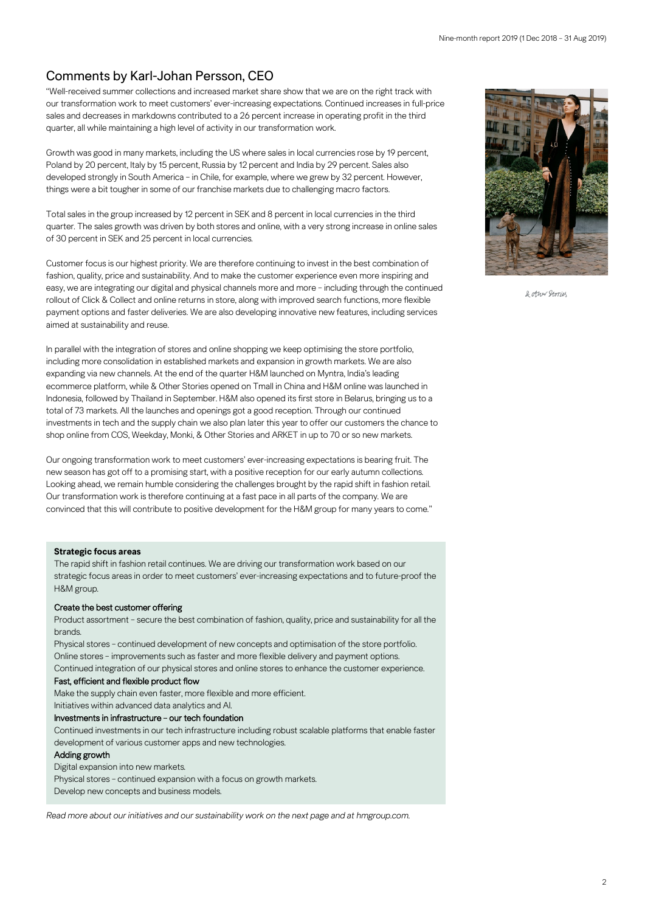## Comments by Karl-Johan Persson, CEO

"Well-received summer collections and increased market share show that we are on the right track with our transformation work to meet customers' ever-increasing expectations. Continued increases in full-price sales and decreases in markdowns contributed to a 26 percent increase in operating profit in the third quarter, all while maintaining a high level of activity in our transformation work.

Growth was good in many markets, including the US where sales in local currencies rose by 19 percent, Poland by 20 percent, Italy by 15 percent, Russia by 12 percent and India by 29 percent. Sales also developed strongly in South America – in Chile, for example, where we grew by 32 percent. However, things were a bit tougher in some of our franchise markets due to challenging macro factors.

Total sales in the group increased by 12 percent in SEK and 8 percent in local currencies in the third quarter. The sales growth was driven by both stores and online, with a very strong increase in online sales of 30 percent in SEK and 25 percent in local currencies.

Customer focus is our highest priority. We are therefore continuing to invest in the best combination of fashion, quality, price and sustainability. And to make the customer experience even more inspiring and easy, we are integrating our digital and physical channels more and more – including through the continued rollout of Click & Collect and online returns in store, along with improved search functions, more flexible payment options and faster deliveries. We are also developing innovative new features, including services aimed at sustainability and reuse.

In parallel with the integration of stores and online shopping we keep optimising the store portfolio, including more consolidation in established markets and expansion in growth markets. We are also expanding via new channels. At the end of the quarter H&M launched on Myntra, India's leading ecommerce platform, while & Other Stories opened on Tmall in China and H&M online was launched in Indonesia, followed by Thailand in September. H&M also opened its first store in Belarus, bringing us to a total of 73 markets. All the launches and openings got a good reception. Through our continued investments in tech and the supply chain we also plan later this year to offer our customers the chance to shop online from COS, Weekday, Monki, & Other Stories and ARKET in up to 70 or so new markets.

Our ongoing transformation work to meet customers' ever-increasing expectations is bearing fruit. The new season has got off to a promising start, with a positive reception for our early autumn collections. Looking ahead, we remain humble considering the challenges brought by the rapid shift in fashion retail. Our transformation work is therefore continuing at a fast pace in all parts of the company. We are convinced that this will contribute to positive development for the H&M group for many years to come."

#### **Strategic focus areas**

The rapid shift in fashion retail continues. We are driving our transformation work based on our strategic focus areas in order to meet customers' ever-increasing expectations and to future-proof the H&M group.

#### Create the best customer offering

Product assortment – secure the best combination of fashion, quality, price and sustainability for all the brands.

Physical stores – continued development of new concepts and optimisation of the store portfolio. Online stores – improvements such as faster and more flexible delivery and payment options. Continued integration of our physical stores and online stores to enhance the customer experience.

#### Fast, efficient and flexible product flow

Make the supply chain even faster, more flexible and more efficient.

Initiatives within advanced data analytics and AI.

#### Investments in infrastructure – our tech foundation

Continued investments in our tech infrastructure including robust scalable platforms that enable faster development of various customer apps and new technologies.

#### Adding growth

Digital expansion into new markets.

Physical stores – continued expansion with a focus on growth markets.

Develop new concepts and business models.

*Read more about our initiatives and our sustainability work on the next page and a[t hmgroup.com.](https://hmgroup.com/investors.html)*



2 other General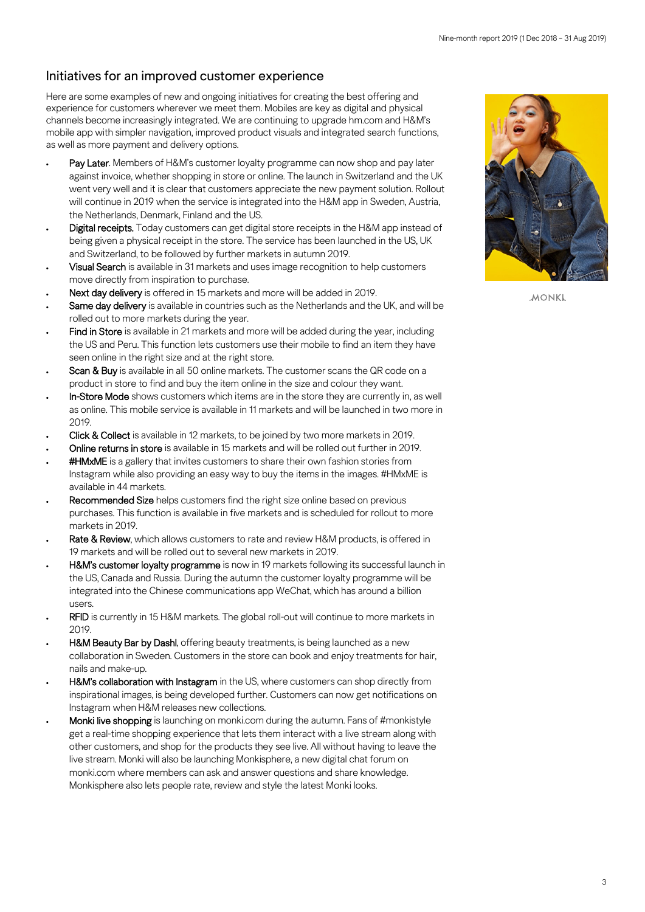## Initiatives for an improved customer experience

Here are some examples of new and ongoing initiatives for creating the best offering and experience for customers wherever we meet them. Mobiles are key as digital and physical channels become increasingly integrated. We are continuing to upgrade hm.com and H&M's mobile app with simpler navigation, improved product visuals and integrated search functions, as well as more payment and delivery options.

- Pay Later. Members of H&M's customer loyalty programme can now shop and pay later against invoice, whether shopping in store or online. The launch in Switzerland and the UK went very well and it is clear that customers appreciate the new payment solution. Rollout will continue in 2019 when the service is integrated into the H&M app in Sweden, Austria, the Netherlands, Denmark, Finland and the US.
- Digital receipts. Today customers can get digital store receipts in the H&M app instead of being given a physical receipt in the store. The service has been launched in the US, UK and Switzerland, to be followed by further markets in autumn 2019.
- Visual Search is available in 31 markets and uses image recognition to help customers move directly from inspiration to purchase.
- Next day delivery is offered in 15 markets and more will be added in 2019.
- Same day delivery is available in countries such as the Netherlands and the UK, and will be rolled out to more markets during the year.
- Find in Store is available in 21 markets and more will be added during the year, including the US and Peru. This function lets customers use their mobile to find an item they have seen online in the right size and at the right store.
- Scan & Buy is available in all 50 online markets. The customer scans the QR code on a product in store to find and buy the item online in the size and colour they want.
- In-Store Mode shows customers which items are in the store they are currently in, as well as online. This mobile service is available in 11 markets and will be launched in two more in 2019.
- Click & Collect is available in 12 markets, to be joined by two more markets in 2019.
- Online returns in store is available in 15 markets and will be rolled out further in 2019.
- **#HMxME** is a gallery that invites customers to share their own fashion stories from Instagram while also providing an easy way to buy the items in the images. #HMxME is available in 44 markets.
- Recommended Size helps customers find the right size online based on previous purchases. This function is available in five markets and is scheduled for rollout to more markets in 2019.
- Rate & Review, which allows customers to rate and review H&M products, is offered in 19 markets and will be rolled out to several new markets in 2019.
- H&M's customer loyalty programme is now in 19 markets following its successful launch in the US, Canada and Russia. During the autumn the customer loyalty programme will be integrated into the Chinese communications app WeChat, which has around a billion users.
- RFID is currently in 15 H&M markets. The global roll-out will continue to more markets in 2019.
- H&M Beauty Bar by Dashl, offering beauty treatments, is being launched as a new collaboration in Sweden. Customers in the store can book and enjoy treatments for hair, nails and make-up.
- H&M's collaboration with Instagram in the US, where customers can shop directly from inspirational images, is being developed further. Customers can now get notifications on Instagram when H&M releases new collections.
- Monki live shopping is launching on monki.com during the autumn. Fans of #monkistyle get a real-time shopping experience that lets them interact with a live stream along with other customers, and shop for the products they see live. All without having to leave the live stream. Monki will also be launching Monkisphere, a new digital chat forum on monki.com where members can ask and answer questions and share knowledge. Monkisphere also lets people rate, review and style the latest Monki looks.



**MONKL**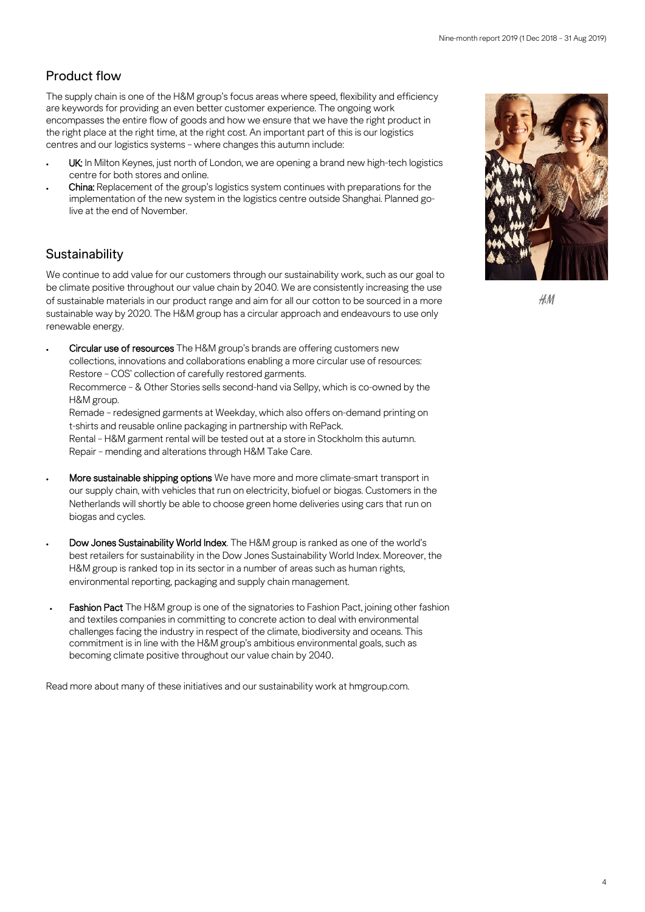## Product flow

The supply chain is one of the H&M group's focus areas where speed, flexibility and efficiency are keywords for providing an even better customer experience. The ongoing work encompasses the entire flow of goods and how we ensure that we have the right product in the right place at the right time, at the right cost. An important part of this is our logistics centres and our logistics systems – where changes this autumn include:

- UK: In Milton Keynes, just north of London, we are opening a brand new high-tech logistics centre for both stores and online.
- China: Replacement of the group's logistics system continues with preparations for the implementation of the new system in the logistics centre outside Shanghai. Planned golive at the end of November.

## **Sustainability**

We continue to add value for our customers through our sustainability work, such as our goal to be climate positive throughout our value chain by 2040. We are consistently increasing the use of sustainable materials in our product range and aim for all our cotton to be sourced in a more sustainable way by 2020. The H&M group has a circular approach and endeavours to use only renewable energy.

• Circular use of resources The H&M group's brands are offering customers new collections, innovations and collaborations enabling a more circular use of resources: Restore – COS' collection of carefully restored garments. Recommerce – & Other Stories sells second-hand via Sellpy, which is co-owned by the H&M group. Remade – redesigned garments at Weekday, which also offers on-demand printing on t-shirts and reusable online packaging in partnership with RePack. Rental – H&M garment rental will be tested out at a store in Stockholm this autumn.

Repair – mending and alterations through H&M Take Care.

- More sustainable shipping options We have more and more climate-smart transport in our supply chain, with vehicles that run on electricity, biofuel or biogas. Customers in the Netherlands will shortly be able to choose green home deliveries using cars that run on biogas and cycles.
- Dow Jones Sustainability World Index. The H&M group is ranked as one of the world's best retailers for sustainability in the Dow Jones Sustainability World Index. Moreover, the H&M group is ranked top in its sector in a number of areas such as human rights, environmental reporting, packaging and supply chain management.
- Fashion Pact The H&M group is one of the signatories to Fashion Pact, joining other fashion and textiles companies in committing to concrete action to deal with environmental challenges facing the industry in respect of the climate, biodiversity and oceans. This commitment is in line with the H&M group's ambitious environmental goals, such as becoming climate positive throughout our value chain by 2040.

Read more about many of these initiatives and our sustainability work a[t hmgroup.com.](https://hmgroup.com/media/news.html)



 $AM$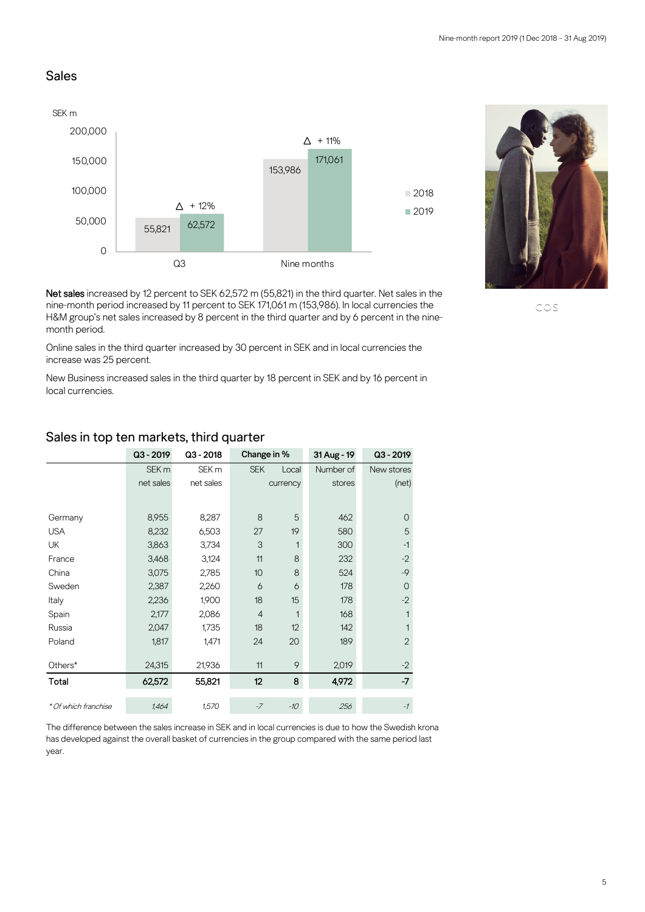#### Sales





Net sales increased by 12 percent to SEK 62,572 m (55,821) in the third quarter. Net sales in the nine-month period increased by 11 percent to SEK 171,061 m (153,986). In local currencies the H&M group's net sales increased by 8 percent in the third quarter and by 6 percent in the ninemonth period.

Online sales in the third quarter increased by 30 percent in SEK and in local currencies the increase was 25 percent.

New Business increased sales in the third quarter by 18 percent in SEK and by 16 percent in local currencies.

|                      | $Q3 - 2019$      | $Q3 - 2018$      | Change in %    |          | 31 Aug - 19 | $Q3 - 2019$    |
|----------------------|------------------|------------------|----------------|----------|-------------|----------------|
|                      | SEK <sub>m</sub> | SEK <sub>m</sub> | <b>SEK</b>     | Local    | Number of   | New stores     |
|                      | net sales        | net sales        |                | currency | stores      | (net)          |
|                      |                  |                  |                |          |             |                |
| Germany              | 8,955            | 8,287            | 8              | 5        | 462         | $\mathcal{O}$  |
| <b>USA</b>           | 8,232            | 6,503            | 27             | 19       | 580         | 5              |
| <b>UK</b>            | 3,863            | 3,734            | 3              |          | 300         | $-1$           |
| France               | 3,468            | 3,124            | 11             | 8        | 232         | $-2$           |
| China                | 3,075            | 2,785            | 10             | 8        | 524         | $-9$           |
| Sweden               | 2,387            | 2,260            | 6              | 6        | 178         | $\overline{0}$ |
| Italy                | 2,236            | 1,900            | 18             | 15       | 178         | $-2$           |
| Spain                | 2,177            | 2,086            | $\overline{4}$ | 1        | 168         | 1              |
| Russia               | 2,047            | 1,735            | 18             | 12       | 142         | 1              |
| Poland               | 1,817            | 1,471            | 24             | 20       | 189         | $\overline{2}$ |
|                      |                  |                  |                |          |             |                |
| Others*              | 24,315           | 21,936           | 11             | 9        | 2,019       | $-2$           |
| Total                | 62,572           | 55,821           | 12             | 8        | 4,972       | $-7$           |
| * Of which franchise | 1,464            | 1,570            | $-7$           | $-10$    | 256         | $-1$           |

#### Sales in top ten markets, third quarter

The difference between the sales increase in SEK and in local currencies is due to how the Swedish krona has developed against the overall basket of currencies in the group compared with the same period last year.

COS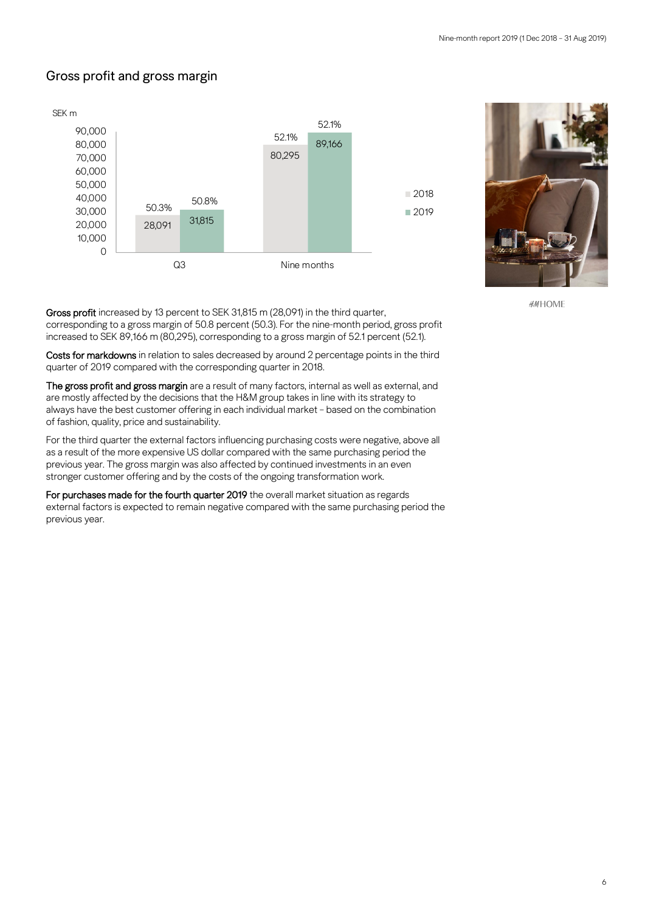## Gross profit and gross margin





**#MHOME** 

Gross profit increased by 13 percent to SEK 31,815 m (28,091) in the third quarter, corresponding to a gross margin of 50.8 percent (50.3). For the nine-month period, gross profit increased to SEK 89,166 m (80,295), corresponding to a gross margin of 52.1 percent (52.1).

Costs for markdowns in relation to sales decreased by around 2 percentage points in the third quarter of 2019 compared with the corresponding quarter in 2018.

The gross profit and gross margin are a result of many factors, internal as well as external, and are mostly affected by the decisions that the H&M group takes in line with its strategy to always have the best customer offering in each individual market – based on the combination of fashion, quality, price and sustainability.

For the third quarter the external factors influencing purchasing costs were negative, above all as a result of the more expensive US dollar compared with the same purchasing period the previous year. The gross margin was also affected by continued investments in an even stronger customer offering and by the costs of the ongoing transformation work.

For purchases made for the fourth quarter 2019 the overall market situation as regards external factors is expected to remain negative compared with the same purchasing period the previous year.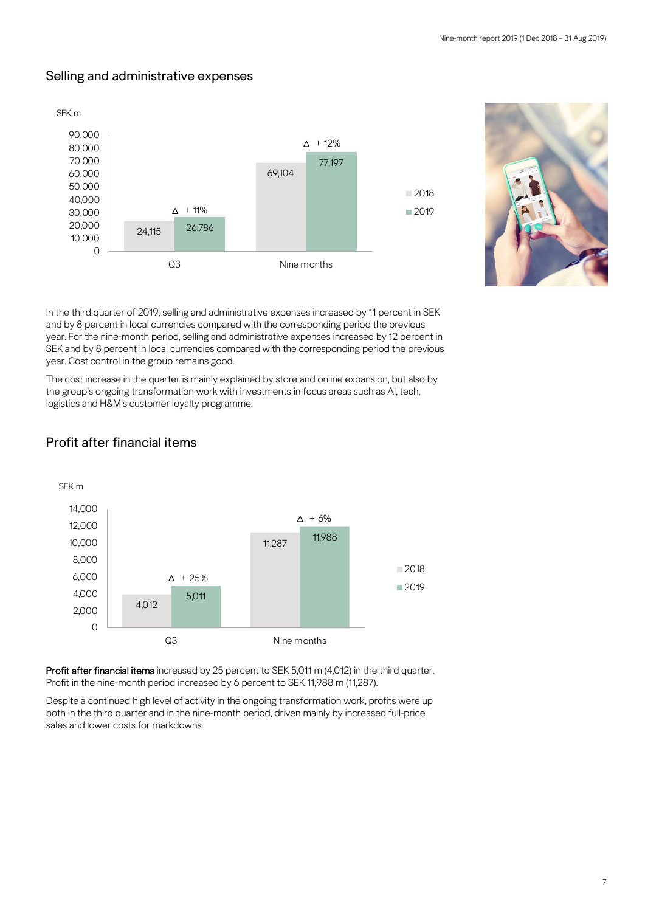## Selling and administrative expenses





In the third quarter of 2019, selling and administrative expenses increased by 11 percent in SEK and by 8 percent in local currencies compared with the corresponding period the previous year. For the nine-month period, selling and administrative expenses increased by 12 percent in SEK and by 8 percent in local currencies compared with the corresponding period the previous year. Cost control in the group remains good.

The cost increase in the quarter is mainly explained by store and online expansion, but also by the group's ongoing transformation work with investments in focus areas such as AI, tech, logistics and H&M's customer loyalty programme.



## Profit after financial items

Profit after financial items increased by 25 percent to SEK 5,011 m (4,012) in the third quarter. Profit in the nine-month period increased by 6 percent to SEK 11,988 m (11,287).

Despite a continued high level of activity in the ongoing transformation work, profits were up both in the third quarter and in the nine-month period, driven mainly by increased full-price sales and lower costs for markdowns.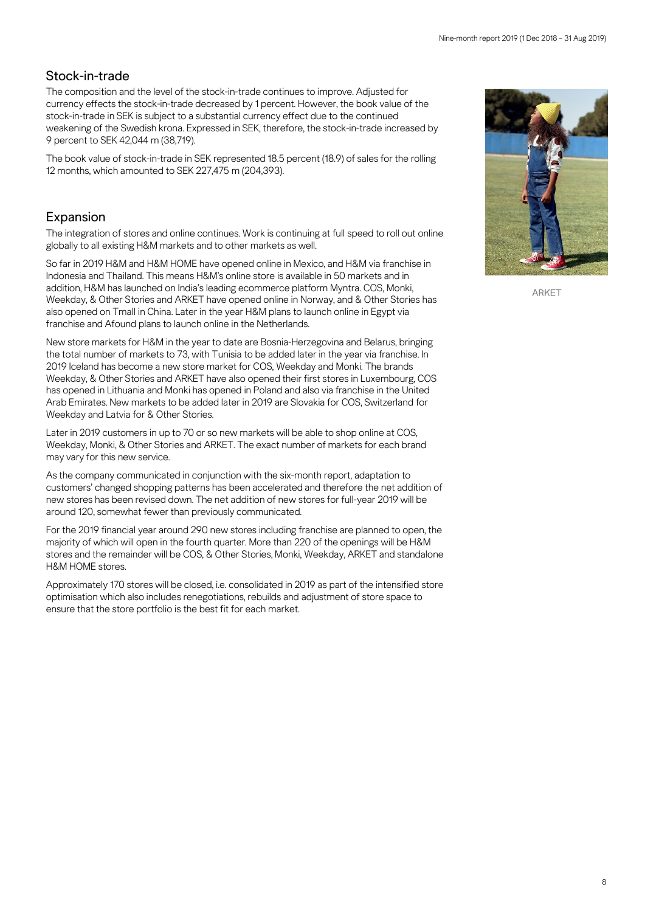## Stock-in-trade

The composition and the level of the stock-in-trade continues to improve. Adjusted for currency effects the stock-in-trade decreased by 1 percent. However, the book value of the stock-in-trade in SEK is subject to a substantial currency effect due to the continued weakening of the Swedish krona. Expressed in SEK, therefore, the stock-in-trade increased by 9 percent to SEK 42,044 m (38,719).

The book value of stock-in-trade in SEK represented 18.5 percent (18.9) of sales for the rolling 12 months, which amounted to SEK 227,475 m (204,393).

## Expansion

The integration of stores and online continues. Work is continuing at full speed to roll out online globally to all existing H&M markets and to other markets as well.

So far in 2019 H&M and H&M HOME have opened online in Mexico, and H&M via franchise in Indonesia and Thailand. This means H&M's online store is available in 50 markets and in addition, H&M has launched on India's leading ecommerce platform Myntra. COS, Monki, Weekday, & Other Stories and ARKET have opened online in Norway, and & Other Stories has also opened on Tmall in China. Later in the year H&M plans to launch online in Egypt via franchise and Afound plans to launch online in the Netherlands.

New store markets for H&M in the year to date are Bosnia-Herzegovina and Belarus, bringing the total number of markets to 73, with Tunisia to be added later in the year via franchise. In 2019 Iceland has become a new store market for COS, Weekday and Monki. The brands Weekday, & Other Stories and ARKET have also opened their first stores in Luxembourg, COS has opened in Lithuania and Monki has opened in Poland and also via franchise in the United Arab Emirates. New markets to be added later in 2019 are Slovakia for COS, Switzerland for Weekday and Latvia for & Other Stories.

Later in 2019 customers in up to 70 or so new markets will be able to shop online at COS, Weekday, Monki, & Other Stories and ARKET. The exact number of markets for each brand may vary for this new service.

As the company communicated in conjunction with the six-month report, adaptation to customers' changed shopping patterns has been accelerated and therefore the net addition of new stores has been revised down. The net addition of new stores for full-year 2019 will be around 120, somewhat fewer than previously communicated.

For the 2019 financial year around 290 new stores including franchise are planned to open, the majority of which will open in the fourth quarter. More than 220 of the openings will be H&M stores and the remainder will be COS, & Other Stories, Monki, Weekday, ARKET and standalone H&M HOME stores.

Approximately 170 stores will be closed, i.e. consolidated in 2019 as part of the intensified store optimisation which also includes renegotiations, rebuilds and adjustment of store space to ensure that the store portfolio is the best fit for each market.



ARKET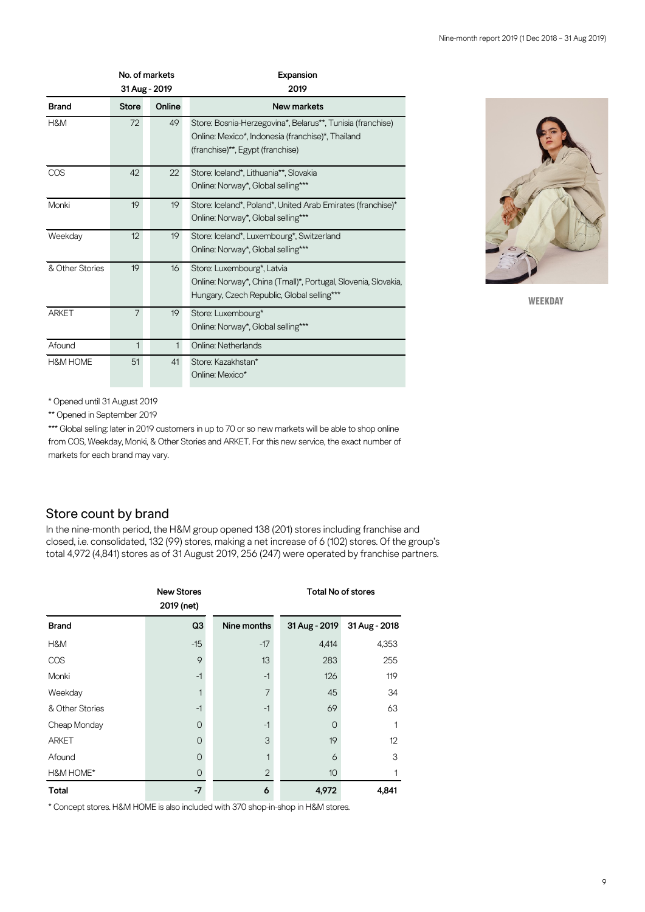|                     |                | No. of markets<br>31 Aug - 2019 | Expansion<br>2019                                                                                                                                   |
|---------------------|----------------|---------------------------------|-----------------------------------------------------------------------------------------------------------------------------------------------------|
| <b>Brand</b>        | <b>Store</b>   | Online                          | New markets                                                                                                                                         |
| H&M                 | 72             | 49                              | Store: Bosnia-Herzegovina*, Belarus**, Tunisia (franchise)<br>Online: Mexico*, Indonesia (franchise)*, Thailand<br>(franchise)**, Egypt (franchise) |
| COS                 | 42             | 22                              | Store: Iceland*, Lithuania**, Slovakia<br>Online: Norway*, Global selling***                                                                        |
| Monki               | 19             | 19                              | Store: Iceland*, Poland*, United Arab Emirates (franchise)*<br>Online: Norway*, Global selling***                                                   |
| Weekday             | 12             | 19                              | Store: Iceland*, Luxembourg*, Switzerland<br>Online: Norway*, Global selling***                                                                     |
| & Other Stories     | 19             | 16                              | Store: Luxembourg*, Latvia<br>Online: Norway*, China (Tmall)*, Portugal, Slovenia, Slovakia,<br>Hungary, Czech Republic, Global selling***          |
| <b>ARKET</b>        | $\overline{7}$ | 19                              | Store: Luxembourg*<br>Online: Norway*, Global selling***                                                                                            |
| Afound              | $\mathbf{1}$   | $\mathbf{1}$                    | Online: Netherlands                                                                                                                                 |
| <b>H&amp;M HOME</b> | 51             | 41                              | Store: Kazakhstan*<br>Online: Mexico*                                                                                                               |



WEEKDAY

\* Opened until 31 August 2019

\*\* Opened in September 2019

\*\*\* Global selling: later in 2019 customers in up to 70 or so new markets will be able to shop online from COS, Weekday, Monki, & Other Stories and ARKET. For this new service, the exact number of markets for each brand may vary.

### Store count by brand

In the nine-month period, the H&M group opened 138 (201) stores including franchise and closed, i.e. consolidated, 132 (99) stores, making a net increase of 6 (102) stores. Of the group's total 4,972 (4,841) stores as of 31 August 2019, 256 (247) were operated by franchise partners.

|                 | <b>New Stores</b><br>2019 (net) |                | <b>Total No of stores</b> |               |  |  |
|-----------------|---------------------------------|----------------|---------------------------|---------------|--|--|
| <b>Brand</b>    | Q <sub>3</sub>                  | Nine months    | 31 Aug - 2019             | 31 Aug - 2018 |  |  |
| H&M             | $-15$                           | $-17$          | 4,414                     | 4,353         |  |  |
| COS             | 9                               | 13             | 283                       | 255           |  |  |
| Monki           | $-1$                            | $-1$           | 126                       | 119           |  |  |
| Weekday         |                                 | $\overline{7}$ | 45                        | 34            |  |  |
| & Other Stories | $-1$                            | $-1$           | 69                        | 63            |  |  |
| Cheap Monday    | $\Omega$                        | -1             | 0                         |               |  |  |
| <b>ARKET</b>    | O                               | 3              | 19                        | 12            |  |  |
| Afound          | $\Omega$                        | 1              | 6                         | 3             |  |  |
| H&M HOME*       | $\circ$                         | $\overline{2}$ | 10                        |               |  |  |
| <b>Total</b>    | $-7$                            | 6              | 4,972                     | 4,841         |  |  |

\* Concept stores. H&M HOME is also included with 370 shop-in-shop in H&M stores.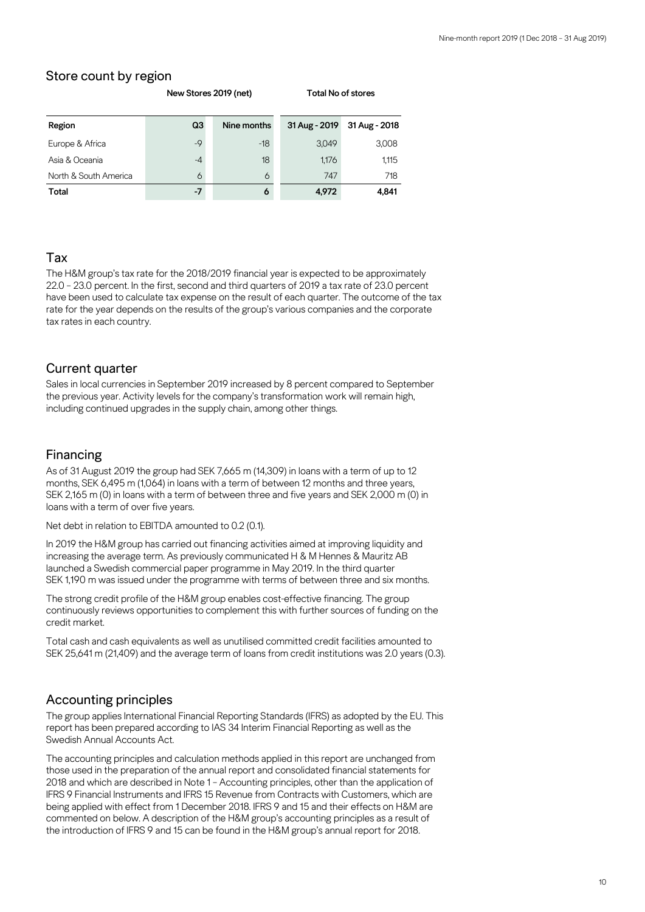## Store count by region

| Region                | Q3   | Nine months | 31 Aug - 2019 | 31 Aug - 2018 |
|-----------------------|------|-------------|---------------|---------------|
| Europe & Africa       | $-9$ | $-18$       | 3,049         | 3,008         |
| Asia & Oceania        | $-4$ | 18          | 1,176         | 1,115         |
| North & South America | 6    | 6           | 747           | 718           |
| <b>Total</b>          | $-7$ | 6           | 4,972         | 4,841         |

#### **New Stores 2019 (net) Total No of stores**

### Tax

The H&M group's tax rate for the 2018/2019 financial year is expected to be approximately 22.0 – 23.0 percent. In the first, second and third quarters of 2019 a tax rate of 23.0 percent have been used to calculate tax expense on the result of each quarter. The outcome of the tax rate for the year depends on the results of the group's various companies and the corporate tax rates in each country.

#### Current quarter

Sales in local currencies in September 2019 increased by 8 percent compared to September the previous year. Activity levels for the company's transformation work will remain high, including continued upgrades in the supply chain, among other things.

#### Financing

As of 31 August 2019 the group had SEK 7,665 m (14,309) in loans with a term of up to 12 months, SEK 6,495 m (1,064) in loans with a term of between 12 months and three years, SEK 2,165 m (0) in loans with a term of between three and five years and SEK 2,000 m (0) in loans with a term of over five years.

Net debt in relation to EBITDA amounted to 0.2 (0.1).

In 2019 the H&M group has carried out financing activities aimed at improving liquidity and increasing the average term. As previously communicated H & M Hennes & Mauritz AB launched a Swedish commercial paper programme in May 2019. In the third quarter SEK 1,190 m was issued under the programme with terms of between three and six months.

The strong credit profile of the H&M group enables cost-effective financing. The group continuously reviews opportunities to complement this with further sources of funding on the credit market.

Total cash and cash equivalents as well as unutilised committed credit facilities amounted to SEK 25,641 m (21,409) and the average term of loans from credit institutions was 2.0 years (0.3).

#### Accounting principles

The group applies International Financial Reporting Standards (IFRS) as adopted by the EU. This report has been prepared according to IAS 34 Interim Financial Reporting as well as the Swedish Annual Accounts Act.

The accounting principles and calculation methods applied in this report are unchanged from those used in the preparation of the annual report and consolidated financial statements for 2018 and which are described in Note 1 – Accounting principles, other than the application of IFRS 9 Financial Instruments and IFRS 15 Revenue from Contracts with Customers, which are being applied with effect from 1 December 2018. IFRS 9 and 15 and their effects on H&M are commented on below. A description of the H&M group's accounting principles as a result of the introduction of IFRS 9 and 15 can be found in the H&M group's annual report for 2018.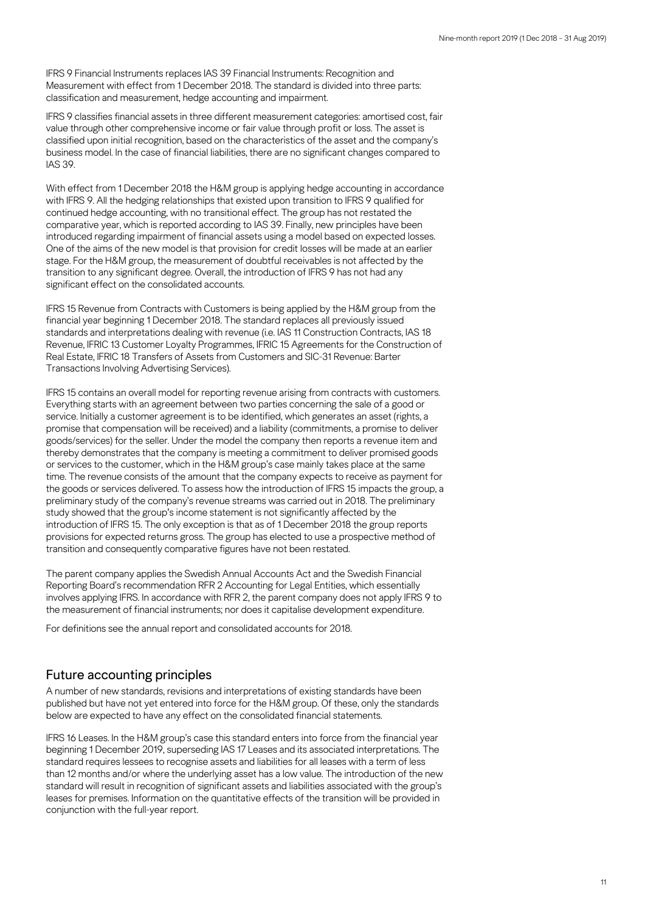IFRS 9 Financial Instruments replaces IAS 39 Financial Instruments: Recognition and Measurement with effect from 1 December 2018. The standard is divided into three parts: classification and measurement, hedge accounting and impairment.

IFRS 9 classifies financial assets in three different measurement categories: amortised cost, fair value through other comprehensive income or fair value through profit or loss. The asset is classified upon initial recognition, based on the characteristics of the asset and the company's business model. In the case of financial liabilities, there are no significant changes compared to IAS 39.

With effect from 1 December 2018 the H&M group is applying hedge accounting in accordance with IFRS 9. All the hedging relationships that existed upon transition to IFRS 9 qualified for continued hedge accounting, with no transitional effect. The group has not restated the comparative year, which is reported according to IAS 39. Finally, new principles have been introduced regarding impairment of financial assets using a model based on expected losses. One of the aims of the new model is that provision for credit losses will be made at an earlier stage. For the H&M group, the measurement of doubtful receivables is not affected by the transition to any significant degree. Overall, the introduction of IFRS 9 has not had any significant effect on the consolidated accounts.

IFRS 15 Revenue from Contracts with Customers is being applied by the H&M group from the financial year beginning 1 December 2018. The standard replaces all previously issued standards and interpretations dealing with revenue (i.e. IAS 11 Construction Contracts, IAS 18 Revenue, IFRIC 13 Customer Loyalty Programmes, IFRIC 15 Agreements for the Construction of Real Estate, IFRIC 18 Transfers of Assets from Customers and SIC-31 Revenue: Barter Transactions Involving Advertising Services).

IFRS 15 contains an overall model for reporting revenue arising from contracts with customers. Everything starts with an agreement between two parties concerning the sale of a good or service. Initially a customer agreement is to be identified, which generates an asset (rights, a promise that compensation will be received) and a liability (commitments, a promise to deliver goods/services) for the seller. Under the model the company then reports a revenue item and thereby demonstrates that the company is meeting a commitment to deliver promised goods or services to the customer, which in the H&M group's case mainly takes place at the same time. The revenue consists of the amount that the company expects to receive as payment for the goods or services delivered. To assess how the introduction of IFRS 15 impacts the group, a preliminary study of the company's revenue streams was carried out in 2018. The preliminary study showed that the group's income statement is not significantly affected by the introduction of IFRS 15. The only exception is that as of 1 December 2018 the group reports provisions for expected returns gross. The group has elected to use a prospective method of transition and consequently comparative figures have not been restated.

The parent company applies the Swedish Annual Accounts Act and the Swedish Financial Reporting Board's recommendation RFR 2 Accounting for Legal Entities, which essentially involves applying IFRS. In accordance with RFR 2, the parent company does not apply IFRS 9 to the measurement of financial instruments; nor does it capitalise development expenditure.

For definitions see the annual report and consolidated accounts for 2018.

#### Future accounting principles

A number of new standards, revisions and interpretations of existing standards have been published but have not yet entered into force for the H&M group. Of these, only the standards below are expected to have any effect on the consolidated financial statements.

IFRS 16 Leases. In the H&M group's case this standard enters into force from the financial year beginning 1 December 2019, superseding IAS 17 Leases and its associated interpretations. The standard requires lessees to recognise assets and liabilities for all leases with a term of less than 12 months and/or where the underlying asset has a low value. The introduction of the new standard will result in recognition of significant assets and liabilities associated with the group's leases for premises. Information on the quantitative effects of the transition will be provided in conjunction with the full-year report.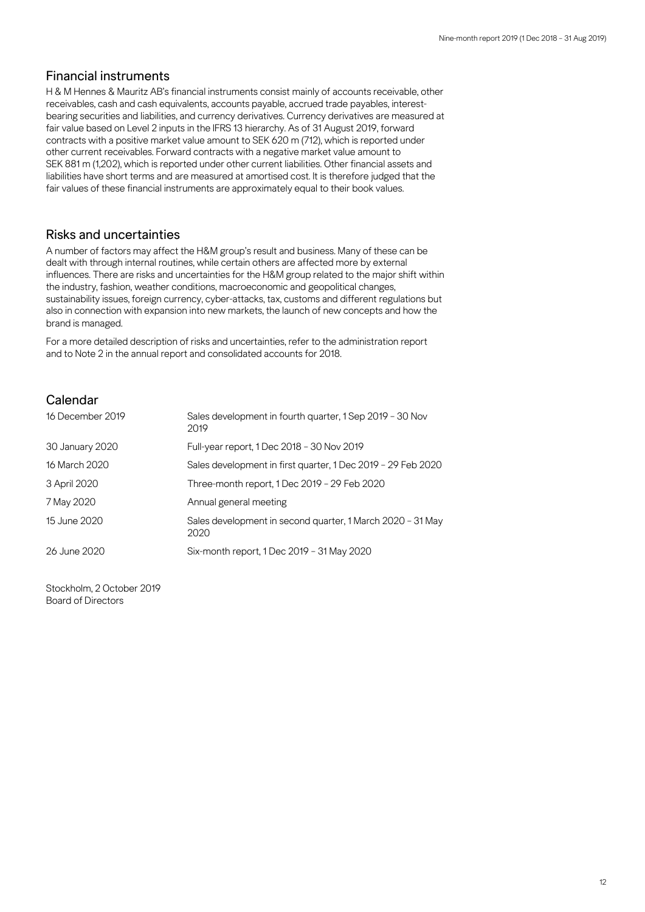#### Financial instruments

H & M Hennes & Mauritz AB's financial instruments consist mainly of accounts receivable, other receivables, cash and cash equivalents, accounts payable, accrued trade payables, interestbearing securities and liabilities, and currency derivatives. Currency derivatives are measured at fair value based on Level 2 inputs in the IFRS 13 hierarchy. As of 31 August 2019, forward contracts with a positive market value amount to SEK 620 m (712), which is reported under other current receivables. Forward contracts with a negative market value amount to SEK 881 m (1,202), which is reported under other current liabilities. Other financial assets and liabilities have short terms and are measured at amortised cost. It is therefore judged that the fair values of these financial instruments are approximately equal to their book values.

### Risks and uncertainties

A number of factors may affect the H&M group's result and business. Many of these can be dealt with through internal routines, while certain others are affected more by external influences. There are risks and uncertainties for the H&M group related to the major shift within the industry, fashion, weather conditions, macroeconomic and geopolitical changes, sustainability issues, foreign currency, cyber-attacks, tax, customs and different regulations but also in connection with expansion into new markets, the launch of new concepts and how the brand is managed.

For a more detailed description of risks and uncertainties, refer to the administration report and to Note 2 in the annual report and consolidated accounts for 2018.

### Calendar

| 16 December 2019 | Sales development in fourth quarter, 1 Sep 2019 - 30 Nov<br>2019   |
|------------------|--------------------------------------------------------------------|
| 30 January 2020  | Full-year report, 1 Dec 2018 - 30 Nov 2019                         |
| 16 March 2020    | Sales development in first quarter, 1 Dec 2019 - 29 Feb 2020       |
| 3 April 2020     | Three-month report, 1 Dec 2019 - 29 Feb 2020                       |
| 7 May 2020       | Annual general meeting                                             |
| 15 June 2020     | Sales development in second quarter, 1 March 2020 - 31 May<br>2020 |
| 26 June 2020     | Six-month report, 1 Dec 2019 - 31 May 2020                         |

Stockholm, 2 October 2019 Board of Directors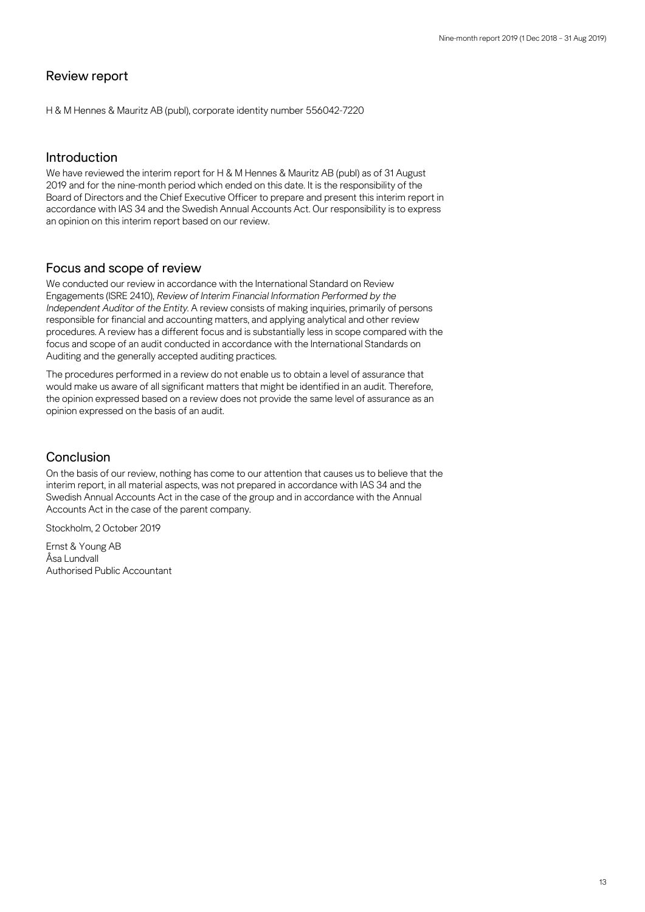### Review report

H & M Hennes & Mauritz AB (publ), corporate identity number 556042-7220

#### Introduction

We have reviewed the interim report for H & M Hennes & Mauritz AB (publ) as of 31 August 2019 and for the nine-month period which ended on this date. It is the responsibility of the Board of Directors and the Chief Executive Officer to prepare and present this interim report in accordance with IAS 34 and the Swedish Annual Accounts Act. Our responsibility is to express an opinion on this interim report based on our review.

#### Focus and scope of review

We conducted our review in accordance with the International Standard on Review Engagements (ISRE 2410), *Review of Interim Financial Information Performed by the Independent Auditor of the Entity*. A review consists of making inquiries, primarily of persons responsible for financial and accounting matters, and applying analytical and other review procedures. A review has a different focus and is substantially less in scope compared with the focus and scope of an audit conducted in accordance with the International Standards on Auditing and the generally accepted auditing practices.

The procedures performed in a review do not enable us to obtain a level of assurance that would make us aware of all significant matters that might be identified in an audit. Therefore, the opinion expressed based on a review does not provide the same level of assurance as an opinion expressed on the basis of an audit.

#### Conclusion

On the basis of our review, nothing has come to our attention that causes us to believe that the interim report, in all material aspects, was not prepared in accordance with IAS 34 and the Swedish Annual Accounts Act in the case of the group and in accordance with the Annual Accounts Act in the case of the parent company.

Stockholm, 2 October 2019

Ernst & Young AB Åsa Lundvall Authorised Public Accountant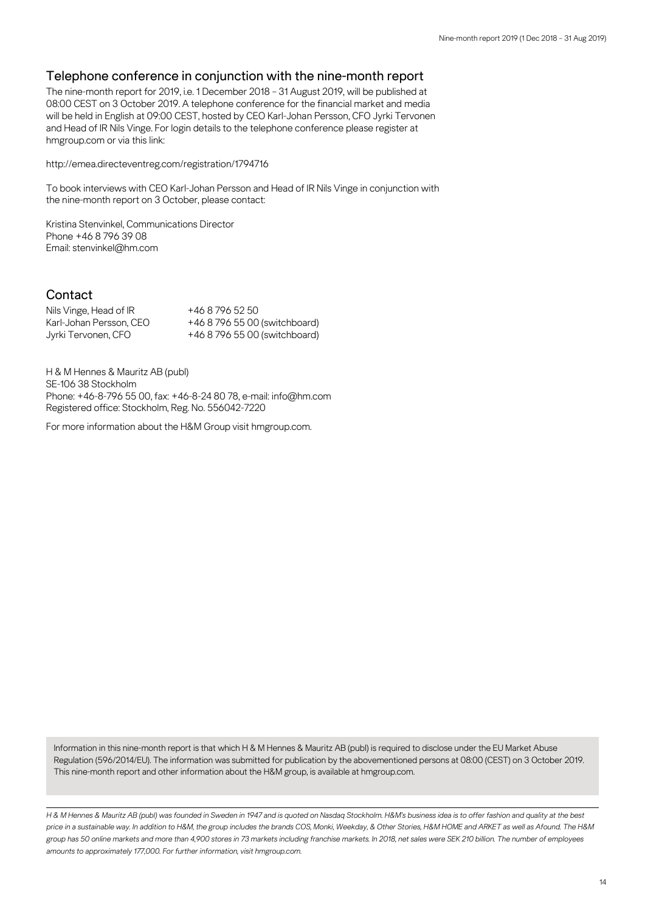## Telephone conference in conjunction with the nine-month report

The nine-month report for 2019, i.e. 1 December 2018 – 31 August 2019, will be published at 08:00 CEST on 3 October 2019. A telephone conference for the financial market and media will be held in English at 09:00 CEST, hosted by CEO Karl-Johan Persson, CFO Jyrki Tervonen and Head of IR Nils Vinge. For login details to the telephone conference please register at hmgroup.com or via this link:

<http://emea.directeventreg.com/registration/1794716>

To book interviews with CEO Karl-Johan Persson and Head of IR Nils Vinge in conjunction with the nine-month report on 3 October, please contact:

Kristina Stenvinkel, Communications Director Phone +46 8 796 39 08 Email: stenvinkel@hm.com

### Contact

Nils Vinge, Head of IR +46 8 796 52 50 Karl-Johan Persson, CEO +46 8 796 55 00 (switchboard) Jyrki Tervonen, CFO +46 8 796 55 00 (switchboard)

H & M Hennes & Mauritz AB (publ) SE-106 38 Stockholm Phone: +46-8-796 55 00, fax: +46-8-24 80 78, e-mail: [info@hm.com](mailto:info@hm.com) Registered office: Stockholm, Reg. No. 556042-7220

For more information about the H&M Group visit [hmgroup.com.](https://hmgroup.com/investors.html)

Information in this nine-month report is that which H & M Hennes & Mauritz AB (publ) is required to disclose under the EU Market Abuse Regulation (596/2014/EU). The information was submitted for publication by the abovementioned persons at 08:00 (CEST) on 3 October 2019. This nine-month report and other information about the H&M group, is available at hmgroup.com.

*H & M Hennes & Mauritz AB (publ) was founded in Sweden in 1947 and is quoted on Nasdaq Stockholm. H&M's business idea is to offer fashion and quality at the best price in a sustainable way. In addition to H&M, the group includes the brands COS, Monki, Weekday, & Other Stories, H&M HOME and ARKET as well as Afound. The H&M group has 50 online markets and more than 4,900 stores in 73 markets including franchise markets. In 2018, net sales were SEK 210 billion. The number of employees amounts to approximately 177,000. For further information, visit hmgroup.com.*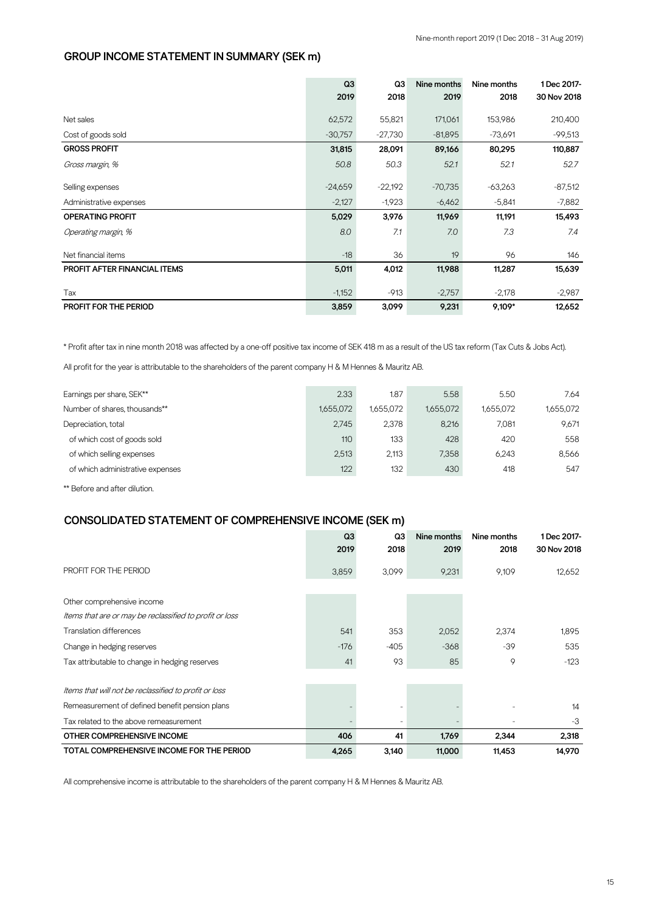#### **GROUP INCOME STATEMENT IN SUMMARY (SEK m)**

|                                     | Q <sub>3</sub> | Q3        | Nine months | Nine months | 1 Dec 2017- |
|-------------------------------------|----------------|-----------|-------------|-------------|-------------|
|                                     | 2019           | 2018      | 2019        | 2018        | 30 Nov 2018 |
| Net sales                           | 62,572         | 55,821    | 171,061     | 153,986     | 210,400     |
| Cost of goods sold                  | $-30,757$      | -27,730   | $-81,895$   | $-73,691$   | $-99,513$   |
| <b>GROSS PROFIT</b>                 | 31,815         | 28,091    | 89,166      | 80,295      | 110,887     |
| Gross margin, %                     | 50.8           | 50.3      | 52.1        | 52.1        | 52.7        |
| Selling expenses                    | $-24,659$      | $-22,192$ | $-70,735$   | $-63,263$   | $-87,512$   |
| Administrative expenses             | $-2,127$       | $-1,923$  | $-6,462$    | $-5,841$    | $-7,882$    |
| <b>OPERATING PROFIT</b>             | 5,029          | 3,976     | 11,969      | 11,191      | 15,493      |
| Operating margin, %                 | 8.0            | 7.1       | 7.0         | 7.3         | 7.4         |
| Net financial items                 | $-18$          | 36        | 19          | 96          | 146         |
| <b>PROFIT AFTER FINANCIAL ITEMS</b> | 5,011          | 4,012     | 11,988      | 11,287      | 15,639      |
| Tax                                 | $-1,152$       | $-913$    | $-2,757$    | $-2,178$    | $-2,987$    |
| PROFIT FOR THE PERIOD               | 3,859          | 3,099     | 9,231       | 9,109*      | 12,652      |

\* Profit after tax in nine month 2018 was affected by a one-off positive tax income of SEK 418 m as a result of the US tax reform (Tax Cuts & Jobs Act).

All profit for the year is attributable to the shareholders of the parent company H & M Hennes & Mauritz AB.

| Earnings per share, SEK**        | 2.33      | 1.87      | 5.58      | 5.50      | 7.64      |
|----------------------------------|-----------|-----------|-----------|-----------|-----------|
| Number of shares, thousands**    | 1.655.072 | 1.655.072 | 1.655.072 | 1.655.072 | 1,655,072 |
| Depreciation, total              | 2.745     | 2,378     | 8,216     | 7.081     | 9.671     |
| of which cost of goods sold      | 110       | 133       | 428       | 420       | 558       |
| of which selling expenses        | 2.513     | 2.113     | 7.358     | 6.243     | 8,566     |
| of which administrative expenses | 122       | 132       | 430       | 418       | 547       |
|                                  |           |           |           |           |           |

\*\* Before and after dilution.

#### **CONSOLIDATED STATEMENT OF COMPREHENSIVE INCOME (SEK m)**

|                                                         | Q3     | Q3     | Nine months | Nine months | 1 Dec 2017- |
|---------------------------------------------------------|--------|--------|-------------|-------------|-------------|
|                                                         | 2019   | 2018   | 2019        | 2018        | 30 Nov 2018 |
| PROFIT FOR THE PERIOD                                   | 3,859  | 3,099  | 9,231       | 9,109       | 12,652      |
|                                                         |        |        |             |             |             |
| Other comprehensive income                              |        |        |             |             |             |
| Items that are or may be reclassified to profit or loss |        |        |             |             |             |
| <b>Translation differences</b>                          | 541    | 353    | 2,052       | 2,374       | 1,895       |
| Change in hedging reserves                              | $-176$ | $-405$ | $-368$      | $-39$       | 535         |
| Tax attributable to change in hedging reserves          | 41     | 93     | 85          | 9           | $-123$      |
| Items that will not be reclassified to profit or loss   |        |        |             |             |             |
| Remeasurement of defined benefit pension plans          |        |        |             |             | 14          |
| Tax related to the above remeasurement                  |        |        |             |             | $-3$        |
| OTHER COMPREHENSIVE INCOME                              | 406    | 41     | 1,769       | 2.344       | 2,318       |
| TOTAL COMPREHENSIVE INCOME FOR THE PERIOD               | 4,265  | 3,140  | 11,000      | 11,453      | 14,970      |

All comprehensive income is attributable to the shareholders of the parent company H & M Hennes & Mauritz AB.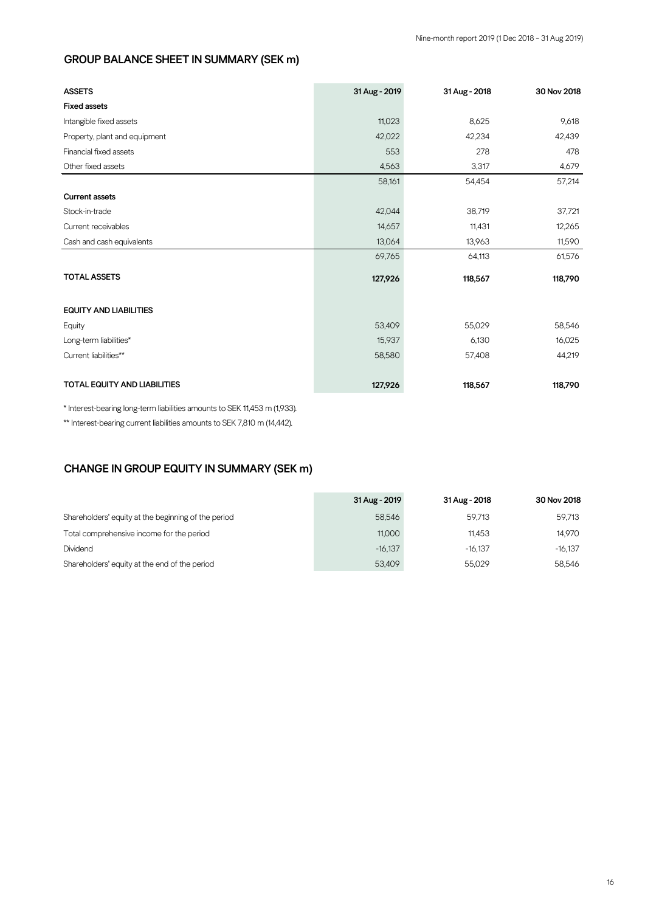## **GROUP BALANCE SHEET IN SUMMARY (SEK m)**

| <b>ASSETS</b>                       | 31 Aug - 2019 | 31 Aug - 2018 | 30 Nov 2018 |
|-------------------------------------|---------------|---------------|-------------|
| <b>Fixed assets</b>                 |               |               |             |
| Intangible fixed assets             | 11,023        | 8,625         | 9,618       |
| Property, plant and equipment       | 42,022        | 42,234        | 42,439      |
| Financial fixed assets              | 553           | 278           | 478         |
| Other fixed assets                  | 4,563         | 3,317         | 4,679       |
|                                     | 58,161        | 54,454        | 57,214      |
| <b>Current assets</b>               |               |               |             |
| Stock-in-trade                      | 42,044        | 38,719        | 37,721      |
| Current receivables                 | 14,657        | 11,431        | 12,265      |
| Cash and cash equivalents           | 13,064        | 13,963        | 11,590      |
|                                     | 69,765        | 64,113        | 61,576      |
| <b>TOTAL ASSETS</b>                 | 127,926       | 118,567       | 118,790     |
| <b>EQUITY AND LIABILITIES</b>       |               |               |             |
| Equity                              | 53,409        | 55,029        | 58,546      |
| Long-term liabilities*              | 15,937        | 6,130         | 16,025      |
| Current liabilities**               | 58,580        | 57,408        | 44,219      |
| <b>TOTAL EQUITY AND LIABILITIES</b> | 127,926       | 118,567       | 118,790     |

\* Interest-bearing long-term liabilities amounts to SEK 11,453 m (1,933).

\*\* Interest-bearing current liabilities amounts to SEK 7,810 m (14,442).

#### **CHANGE IN GROUP EQUITY IN SUMMARY (SEK m)**

|                                                     | 31 Aug - 2019 | 31 Aug - 2018 | 30 Nov 2018 |
|-----------------------------------------------------|---------------|---------------|-------------|
| Shareholders' equity at the beginning of the period | 58.546        | 59.713        | 59.713      |
| Total comprehensive income for the period           | 11.000        | 11.453        | 14,970      |
| Dividend                                            | $-16.137$     | $-16.137$     | $-16.137$   |
| Shareholders' equity at the end of the period       | 53,409        | 55.029        | 58.546      |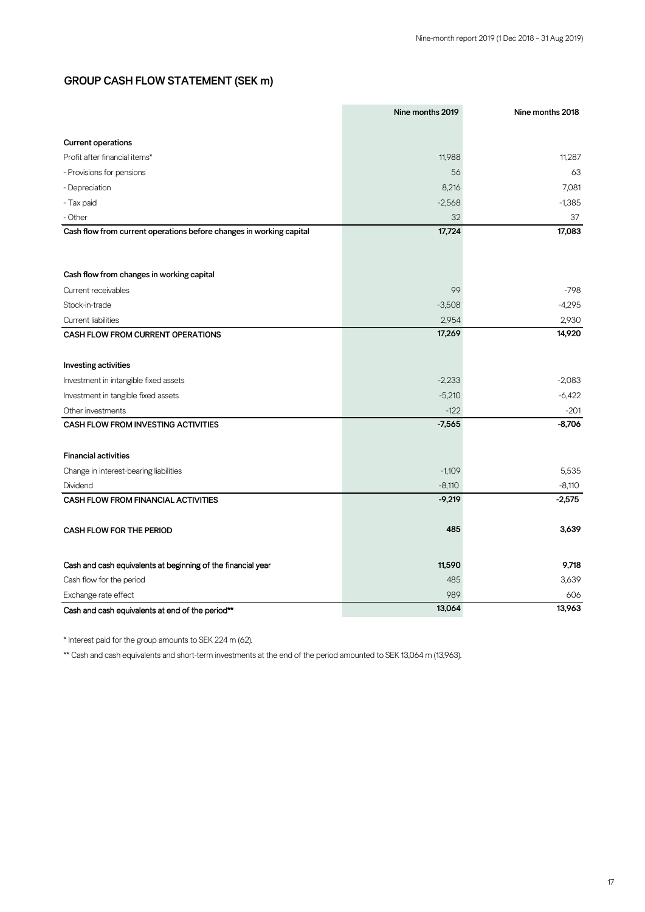#### **GROUP CASH FLOW STATEMENT (SEK m)**

|                                                                     | Nine months 2019 | Nine months 2018 |
|---------------------------------------------------------------------|------------------|------------------|
|                                                                     |                  |                  |
| <b>Current operations</b>                                           |                  |                  |
| Profit after financial items*                                       | 11,988           | 11,287           |
| - Provisions for pensions                                           | 56               | 63               |
| - Depreciation                                                      | 8,216            | 7,081            |
| - Tax paid                                                          | $-2,568$         | $-1,385$         |
| - Other                                                             | 32               | 37               |
| Cash flow from current operations before changes in working capital | 17,724           | 17,083           |
|                                                                     |                  |                  |
| Cash flow from changes in working capital                           |                  |                  |
| Current receivables                                                 | 99               | $-798$           |
| Stock-in-trade                                                      | $-3,508$         | $-4,295$         |
| Current liabilities                                                 | 2,954            | 2,930            |
| CASH FLOW FROM CURRENT OPERATIONS                                   | 17,269           | 14,920           |
|                                                                     |                  |                  |
| Investing activities                                                |                  |                  |
| Investment in intangible fixed assets                               | $-2,233$         | $-2,083$         |
| Investment in tangible fixed assets                                 | $-5,210$         | $-6,422$         |
| Other investments                                                   | $-122$           | $-201$           |
| <b>CASH FLOW FROM INVESTING ACTIVITIES</b>                          | $-7,565$         | $-8,706$         |
| <b>Financial activities</b>                                         |                  |                  |
| Change in interest-bearing liabilities                              | $-1,109$         | 5,535            |
| Dividend                                                            | $-8,110$         | $-8,110$         |
| <b>CASH FLOW FROM FINANCIAL ACTIVITIES</b>                          | $-9,219$         | $-2,575$         |
| <b>CASH FLOW FOR THE PERIOD</b>                                     | 485              | 3,639            |
| Cash and cash equivalents at beginning of the financial year        | 11,590           | 9,718            |
| Cash flow for the period                                            | 485              | 3,639            |
| Exchange rate effect                                                | 989              | 606              |
| Cash and cash equivalents at end of the period**                    | 13,064           | 13,963           |

\* Interest paid for the group amounts to SEK 224 m (62).

\*\* Cash and cash equivalents and short-term investments at the end of the period amounted to SEK 13,064 m (13,963).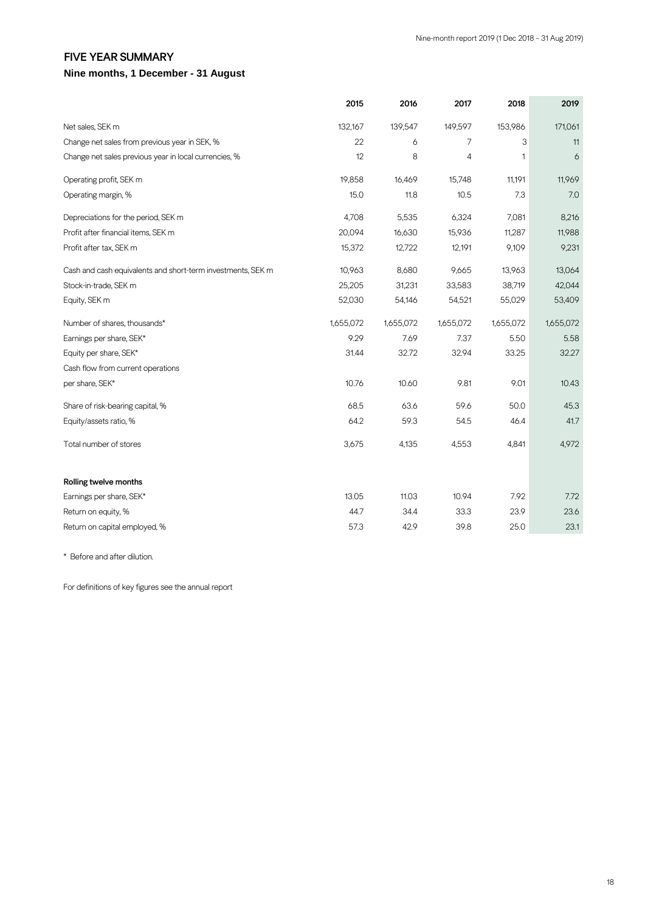#### **FIVE YEAR SUMMARY**

#### **Nine months, 1 December - 31 August**

|                                                             | 2015      | 2016      | 2017      | 2018         | 2019      |
|-------------------------------------------------------------|-----------|-----------|-----------|--------------|-----------|
| Net sales, SEK m                                            | 132,167   | 139,547   | 149,597   | 153,986      | 171,061   |
| Change net sales from previous year in SEK, %               | 22        | 6         | 7         | 3            | 11        |
| Change net sales previous year in local currencies, %       | 12        | 8         | 4         | $\mathbf{1}$ | 6         |
| Operating profit, SEK m                                     | 19,858    | 16,469    | 15,748    | 11,191       | 11,969    |
| Operating margin, %                                         | 15.0      | 11.8      | 10.5      | 7.3          | 7.0       |
| Depreciations for the period, SEK m                         | 4,708     | 5,535     | 6,324     | 7,081        | 8,216     |
| Profit after financial items, SEK m                         | 20,094    | 16,630    | 15,936    | 11,287       | 11,988    |
| Profit after tax, SEK m                                     | 15,372    | 12,722    | 12,191    | 9,109        | 9,231     |
| Cash and cash equivalents and short-term investments, SEK m | 10,963    | 8,680     | 9,665     | 13,963       | 13,064    |
| Stock-in-trade, SEK m                                       | 25,205    | 31,231    | 33,583    | 38,719       | 42,044    |
| Equity, SEK m                                               | 52,030    | 54,146    | 54,521    | 55,029       | 53,409    |
| Number of shares, thousands*                                | 1,655,072 | 1,655,072 | 1,655,072 | 1,655,072    | 1,655,072 |
| Earnings per share, SEK*                                    | 9.29      | 7.69      | 7.37      | 5.50         | 5.58      |
| Equity per share, SEK*                                      | 31.44     | 32.72     | 32.94     | 33.25        | 32.27     |
| Cash flow from current operations                           |           |           |           |              |           |
| per share, SEK*                                             | 10.76     | 10.60     | 9.81      | 9.01         | 10.43     |
| Share of risk-bearing capital, %                            | 68.5      | 63.6      | 59.6      | 50.0         | 45.3      |
| Equity/assets ratio, %                                      | 64.2      | 59.3      | 54.5      | 46.4         | 41.7      |
| Total number of stores                                      | 3,675     | 4,135     | 4,553     | 4,841        | 4,972     |
| Rolling twelve months                                       |           |           |           |              |           |
| Earnings per share, SEK*                                    | 13.05     | 11.03     | 10.94     | 7.92         | 7.72      |
| Return on equity, %                                         | 44.7      | 34.4      | 33.3      | 23.9         | 23.6      |
| Return on capital employed, %                               | 57.3      | 42.9      | 39.8      | 25.0         | 23.1      |

\* Before and after dilution.

For definitions of key figures see the annual report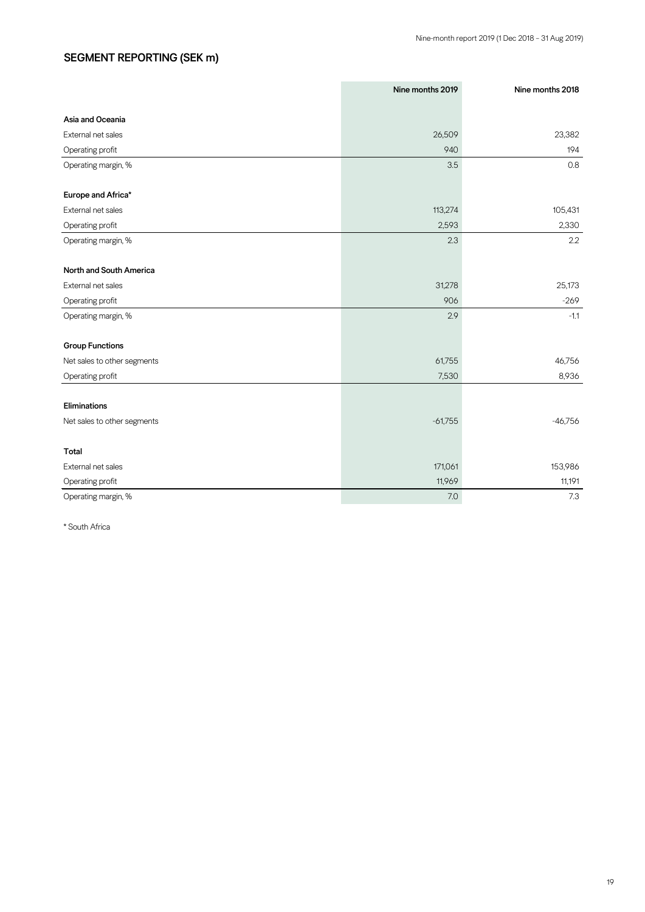## **SEGMENT REPORTING (SEK m)**

|                             | Nine months 2019 | Nine months 2018 |
|-----------------------------|------------------|------------------|
|                             |                  |                  |
| Asia and Oceania            |                  |                  |
| External net sales          | 26,509           | 23,382           |
| Operating profit            | 940              | 194              |
| Operating margin, %         | 3.5              | 0.8              |
|                             |                  |                  |
| Europe and Africa*          |                  |                  |
| External net sales          | 113,274          | 105,431          |
| Operating profit            | 2,593            | 2,330            |
| Operating margin, %         | 2.3              | 2.2              |
|                             |                  |                  |
| North and South America     |                  |                  |
| External net sales          | 31,278           | 25,173           |
| Operating profit            | 906              | $-269$           |
| Operating margin, %         | 2.9              | $-1.1$           |
|                             |                  |                  |
| <b>Group Functions</b>      |                  |                  |
| Net sales to other segments | 61,755           | 46,756           |
| Operating profit            | 7,530            | 8,936            |
| Eliminations                |                  |                  |
| Net sales to other segments | $-61,755$        | $-46,756$        |
|                             |                  |                  |
| Total                       |                  |                  |
| External net sales          | 171,061          | 153,986          |
| Operating profit            | 11,969           | 11,191           |
| Operating margin, %         | 7.0              | 7.3              |

\* South Africa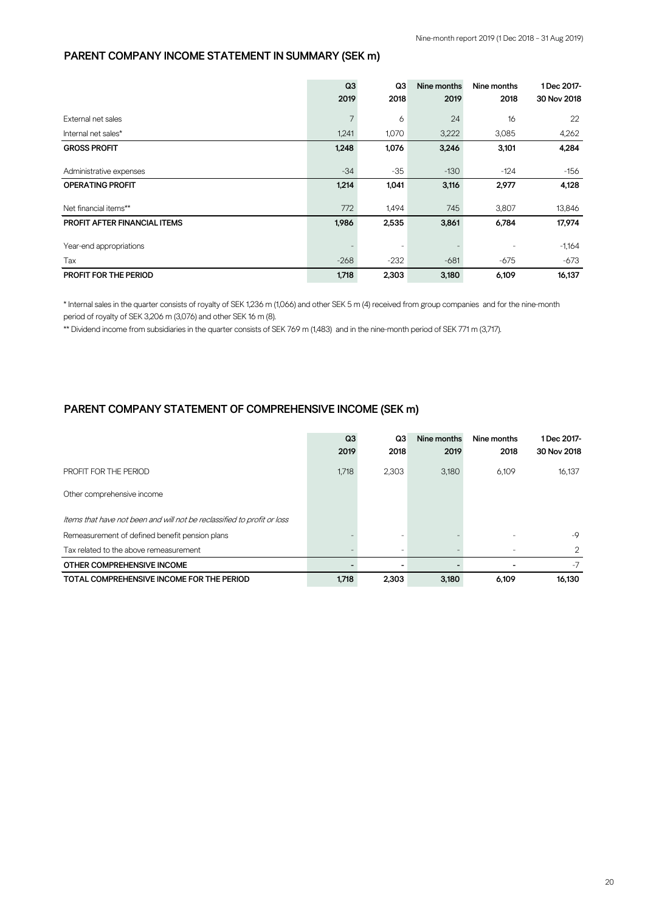#### **PARENT COMPANY INCOME STATEMENT IN SUMMARY (SEK m)**

|                                     | Q3     | Q3     | Nine months | Nine months | 1 Dec 2017- |
|-------------------------------------|--------|--------|-------------|-------------|-------------|
|                                     | 2019   | 2018   | 2019        | 2018        | 30 Nov 2018 |
| External net sales                  |        | 6      | 24          | 16          | 22          |
| Internal net sales*                 | 1,241  | 1,070  | 3,222       | 3,085       | 4,262       |
| <b>GROSS PROFIT</b>                 | 1,248  | 1,076  | 3,246       | 3,101       | 4,284       |
| Administrative expenses             | $-34$  | $-35$  | $-130$      | $-124$      | $-156$      |
| <b>OPERATING PROFIT</b>             | 1,214  | 1,041  | 3,116       | 2,977       | 4,128       |
| Net financial items**               | 772    | 1,494  | 745         | 3,807       | 13,846      |
| <b>PROFIT AFTER FINANCIAL ITEMS</b> | 1,986  | 2,535  | 3,861       | 6,784       | 17,974      |
| Year-end appropriations             |        |        |             |             | $-1,164$    |
| Tax                                 | $-268$ | $-232$ | $-681$      | $-675$      | $-673$      |
| <b>PROFIT FOR THE PERIOD</b>        | 1,718  | 2,303  | 3,180       | 6,109       | 16,137      |

\* Internal sales in the quarter consists of royalty of SEK 1,236 m (1,066) and other SEK 5 m (4) received from group companies and for the nine-month period of royalty of SEK 3,206 m (3,076) and other SEK 16 m (8).

\*\* Dividend income from subsidiaries in the quarter consists of SEK 769 m (1,483) and in the nine-month period of SEK 771 m (3,717).

#### **PARENT COMPANY STATEMENT OF COMPREHENSIVE INCOME (SEK m)**

|                                                                         | Q3    | Q3    | Nine months | Nine months | 1 Dec 2017-   |
|-------------------------------------------------------------------------|-------|-------|-------------|-------------|---------------|
|                                                                         | 2019  | 2018  | 2019        | 2018        | 30 Nov 2018   |
| PROFIT FOR THE PERIOD                                                   | 1,718 | 2,303 | 3,180       | 6,109       | 16,137        |
| Other comprehensive income                                              |       |       |             |             |               |
| Items that have not been and will not be reclassified to profit or loss |       |       |             |             |               |
| Remeasurement of defined benefit pension plans                          |       |       |             |             | $-9$          |
| Tax related to the above remeasurement                                  |       |       |             |             | $\mathcal{P}$ |
| OTHER COMPREHENSIVE INCOME                                              |       |       |             |             | $-7$          |
| TOTAL COMPREHENSIVE INCOME FOR THE PERIOD                               | 1.718 | 2.303 | 3.180       | 6.109       | 16.130        |